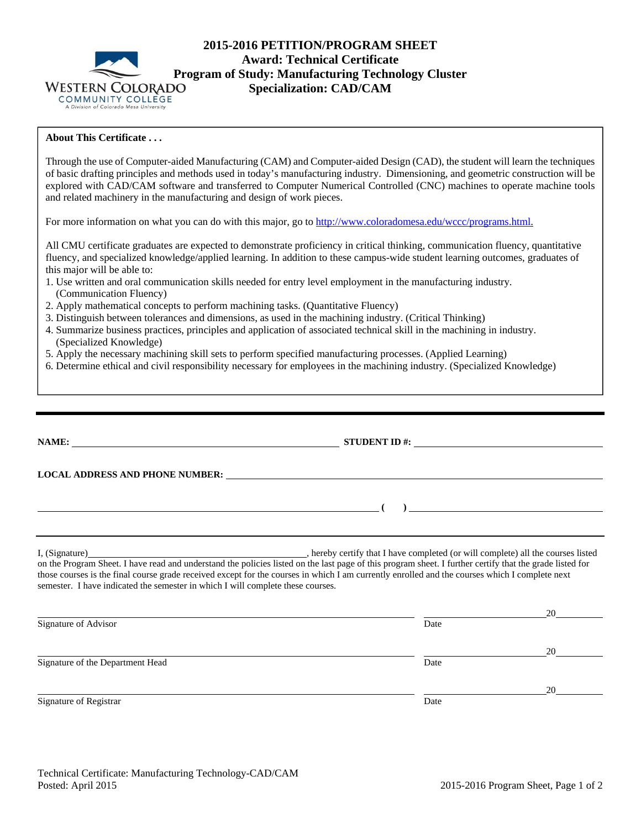

## **2015-2016 PETITION/PROGRAM SHEET Award: Technical Certificate Program of Study: Manufacturing Technology Cluster Specialization: CAD/CAM**

## **About This Certificate . . .**

Through the use of Computer-aided Manufacturing (CAM) and Computer-aided Design (CAD), the student will learn the techniques of basic drafting principles and methods used in today's manufacturing industry. Dimensioning, and geometric construction will be explored with CAD/CAM software and transferred to Computer Numerical Controlled (CNC) machines to operate machine tools and related machinery in the manufacturing and design of work pieces.

For more information on what you can do with this major, go to http://www.coloradomesa.edu/wccc/programs.html.

All CMU certificate graduates are expected to demonstrate proficiency in critical thinking, communication fluency, quantitative fluency, and specialized knowledge/applied learning. In addition to these campus-wide student learning outcomes, graduates of this major will be able to:

- 1. Use written and oral communication skills needed for entry level employment in the manufacturing industry. (Communication Fluency)
- 2. Apply mathematical concepts to perform machining tasks. (Quantitative Fluency)
- 3. Distinguish between tolerances and dimensions, as used in the machining industry. (Critical Thinking)
- 4. Summarize business practices, principles and application of associated technical skill in the machining in industry. (Specialized Knowledge)
- 5. Apply the necessary machining skill sets to perform specified manufacturing processes. (Applied Learning)
- 6. Determine ethical and civil responsibility necessary for employees in the machining industry. (Specialized Knowledge)

|                                                                                 |                                                                                                                                                | $\begin{picture}(150,10) \put(0,0){\dashbox{0.5}(10,0){ }} \put(150,0){\circle{10}} \put(150,0){\circle{10}} \put(150,0){\circle{10}} \put(150,0){\circle{10}} \put(150,0){\circle{10}} \put(150,0){\circle{10}} \put(150,0){\circle{10}} \put(150,0){\circle{10}} \put(150,0){\circle{10}} \put(150,0){\circle{10}} \put(150,0){\circle{10}} \put(150,0){\circle{10}} \put(150,$ |
|---------------------------------------------------------------------------------|------------------------------------------------------------------------------------------------------------------------------------------------|-----------------------------------------------------------------------------------------------------------------------------------------------------------------------------------------------------------------------------------------------------------------------------------------------------------------------------------------------------------------------------------|
| semester. I have indicated the semester in which I will complete these courses. | those courses is the final course grade received except for the courses in which I am currently enrolled and the courses which I complete next |                                                                                                                                                                                                                                                                                                                                                                                   |
|                                                                                 |                                                                                                                                                |                                                                                                                                                                                                                                                                                                                                                                                   |
| Signature of Advisor                                                            | Date                                                                                                                                           | 20                                                                                                                                                                                                                                                                                                                                                                                |
| Signature of the Department Head                                                | Date                                                                                                                                           | 20                                                                                                                                                                                                                                                                                                                                                                                |